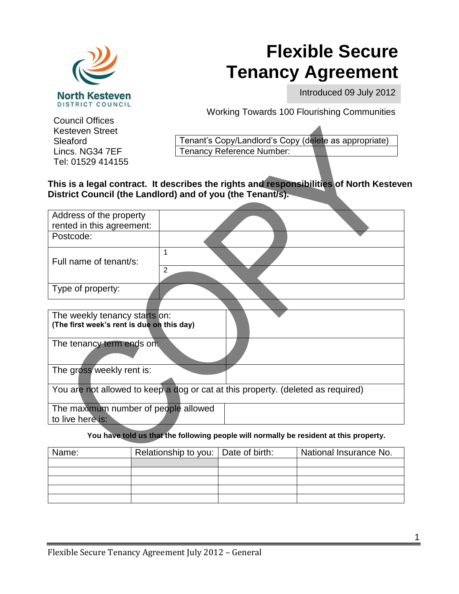

# **Flexible Secure Tenancy Agreement**

Introduced 09 July 2012

Working Towards 100 Flourishing Communities

Council Offices Kesteven Street **Sleaford** Lincs. NG34 7EF Tel: 01529 414155

Tenant's Copy/Landlord's Copy (delete as appropriate) Tenancy Reference Number:

**This is a legal contract. It describes the rights and responsibilities of North Kesteven District Council (the Landlord) and of you (the Tenant/s).** 

| Address of the property                                                          |   |  |  |  |  |  |
|----------------------------------------------------------------------------------|---|--|--|--|--|--|
| rented in this agreement:                                                        |   |  |  |  |  |  |
| Postcode:                                                                        |   |  |  |  |  |  |
| Full name of tenant/s:                                                           | 1 |  |  |  |  |  |
|                                                                                  | 2 |  |  |  |  |  |
| Type of property:                                                                |   |  |  |  |  |  |
|                                                                                  |   |  |  |  |  |  |
| The weekly tenancy starts on:                                                    |   |  |  |  |  |  |
| (The first week's rent is due on this day)                                       |   |  |  |  |  |  |
| The tenancy term ends on:                                                        |   |  |  |  |  |  |
|                                                                                  |   |  |  |  |  |  |
| The gross weekly rent is:                                                        |   |  |  |  |  |  |
| You are not allowed to keep a dog or cat at this property. (deleted as required) |   |  |  |  |  |  |
| The maximum number of people allowed                                             |   |  |  |  |  |  |
| to live here is:                                                                 |   |  |  |  |  |  |

### **You have told us that the following people will normally be resident at this property.**

| Name: | Relationship to you: Date of birth: | National Insurance No. |
|-------|-------------------------------------|------------------------|
|       |                                     |                        |
|       |                                     |                        |
|       |                                     |                        |
|       |                                     |                        |
|       |                                     |                        |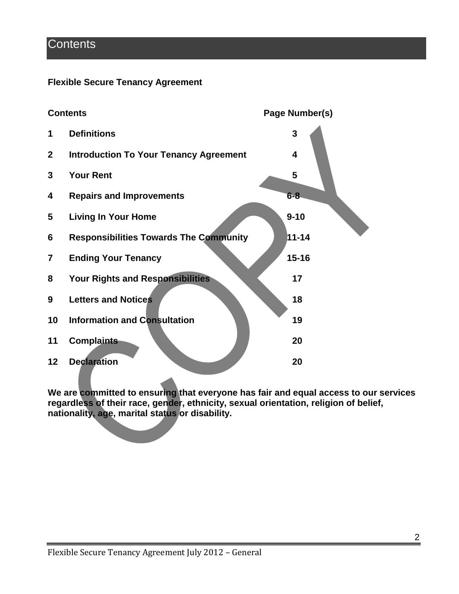### **Contents**

### **Flexible Secure Tenancy Agreement**



**We are committed to ensuring that everyone has fair and equal access to our services regardless of their race, gender, ethnicity, sexual orientation, religion of belief, nationality, age, marital status or disability.**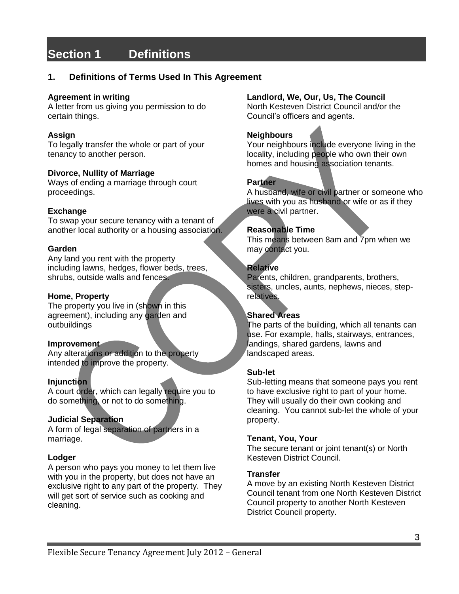## **Section 1 Definitions**

### **1. Definitions of Terms Used In This Agreement**

#### **Agreement in writing**

A letter from us giving you permission to do certain things.

### **Assign**

To legally transfer the whole or part of your tenancy to another person.

#### **Divorce, Nullity of Marriage**

Ways of ending a marriage through court proceedings.

### **Exchange**

To swap your secure tenancy with a tenant of another local authority or a housing association.

#### **Garden**

Any land you rent with the property including lawns, hedges, flower beds, trees, shrubs, outside walls and fences.

### **Home, Property**

The property you live in (shown in this agreement), including any garden and outbuildings

#### **Improvement**

Any alterations or addition to the property intended to improve the property.

### **Injunction**

A court order, which can legally require you to do something, or not to do something.

### **Judicial Separation**

A form of legal separation of partners in a marriage.

### **Lodger**

A person who pays you money to let them live with you in the property, but does not have an exclusive right to any part of the property. They will get sort of service such as cooking and cleaning.

### **Landlord, We, Our, Us, The Council**

North Kesteven District Council and/or the Council's officers and agents.

### **Neighbours**

Your neighbours include everyone living in the locality, including people who own their own homes and housing association tenants.

### **Partner**

A husband, wife or civil partner or someone who lives with you as husband or wife or as if they were a civil partner.

#### **Reasonable Time**

This means between 8am and 7pm when we may contact you.

### **Relative**

Parents, children, grandparents, brothers, sisters, uncles, aunts, nephews, nieces, steprelatives.

### **Shared Areas**

The parts of the building, which all tenants can use. For example, halls, stairways, entrances, landings, shared gardens, lawns and landscaped areas.

#### **Sub-let**

Sub-letting means that someone pays you rent to have exclusive right to part of your home. They will usually do their own cooking and cleaning. You cannot sub-let the whole of your property.

#### **Tenant, You, Your**

The secure tenant or joint tenant(s) or North Kesteven District Council.

#### **Transfer**

A move by an existing North Kesteven District Council tenant from one North Kesteven District Council property to another North Kesteven District Council property.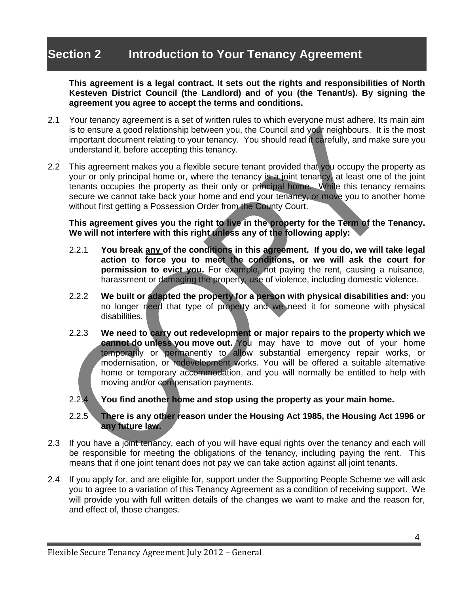### **Section 2 Introduction to Your Tenancy Agreement**

**This agreement is a legal contract. It sets out the rights and responsibilities of North Kesteven District Council (the Landlord) and of you (the Tenant/s). By signing the agreement you agree to accept the terms and conditions.** 

- 2.1 Your tenancy agreement is a set of written rules to which everyone must adhere. Its main aim is to ensure a good relationship between you, the Council and your neighbours. It is the most important document relating to your tenancy. You should read it carefully, and make sure you understand it, before accepting this tenancy.
- 2.2 This agreement makes you a flexible secure tenant provided that you occupy the property as your or only principal home or, where the tenancy is a joint tenancy, at least one of the joint tenants occupies the property as their only or principal home. While this tenancy remains secure we cannot take back your home and end your tenancy, or move you to another home without first getting a Possession Order from the County Court.

**This agreement gives you the right to live in the property for the Term of the Tenancy. We will not interfere with this right unless any of the following apply:**

- 2.2.1 **You break any of the conditions in this agreement. If you do, we will take legal action to force you to meet the conditions, or we will ask the court for permission to evict you.** For example, not paying the rent, causing a nuisance, harassment or damaging the property, use of violence, including domestic violence.
- 2.2.2 **We built or adapted the property for a person with physical disabilities and:** you no longer need that type of property and we need it for someone with physical disabilities.
- 2.2.3 **We need to carry out redevelopment or major repairs to the property which we cannot do unless you move out.** You may have to move out of your home temporarily or permanently to allow substantial emergency repair works, or modernisation, or redevelopment works. You will be offered a suitable alternative home or temporary accommodation, and you will normally be entitled to help with moving and/or compensation payments.
- 2.2.4 **You find another home and stop using the property as your main home.**

### 2.2.5 **There is any other reason under the Housing Act 1985, the Housing Act 1996 or any future law.**

- 2.3 If you have a joint tenancy, each of you will have equal rights over the tenancy and each will be responsible for meeting the obligations of the tenancy, including paying the rent. This means that if one joint tenant does not pay we can take action against all joint tenants.
- 2.4 If you apply for, and are eligible for, support under the Supporting People Scheme we will ask you to agree to a variation of this Tenancy Agreement as a condition of receiving support. We will provide you with full written details of the changes we want to make and the reason for, and effect of, those changes.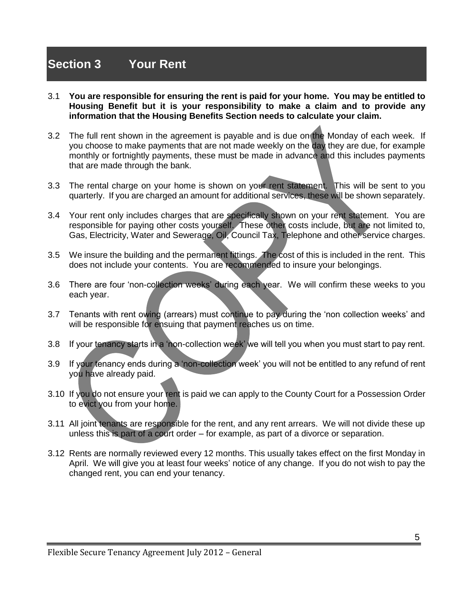### **Section 3 Your Rent**

- 3.1 **You are responsible for ensuring the rent is paid for your home. You may be entitled to Housing Benefit but it is your responsibility to make a claim and to provide any information that the Housing Benefits Section needs to calculate your claim.**
- 3.2 The full rent shown in the agreement is payable and is due on the Monday of each week. If you choose to make payments that are not made weekly on the day they are due, for example monthly or fortnightly payments, these must be made in advance and this includes payments that are made through the bank.
- 3.3 The rental charge on your home is shown on your rent statement. This will be sent to you quarterly. If you are charged an amount for additional services, these will be shown separately.
- 3.4 Your rent only includes charges that are specifically shown on your rent statement. You are responsible for paying other costs yourself. These other costs include, but are not limited to, Gas, Electricity, Water and Sewerage, Oil, Council Tax, Telephone and other service charges.
- 3.5 We insure the building and the permanent fittings. The cost of this is included in the rent. This does not include your contents. You are recommended to insure your belongings.
- 3.6 There are four 'non-collection weeks' during each year. We will confirm these weeks to you each year.
- 3.7 Tenants with rent owing (arrears) must continue to pay during the 'non collection weeks' and will be responsible for ensuing that payment reaches us on time.
- 3.8 If your tenancy starts in a 'non-collection week' we will tell you when you must start to pay rent.
- 3.9 If your tenancy ends during a 'non-collection week' you will not be entitled to any refund of rent you have already paid.
- 3.10 If you do not ensure your rent is paid we can apply to the County Court for a Possession Order to evict you from your home.
- 3.11 All joint tenants are responsible for the rent, and any rent arrears. We will not divide these up unless this is part of a court order – for example, as part of a divorce or separation.
- 3.12 Rents are normally reviewed every 12 months. This usually takes effect on the first Monday in April. We will give you at least four weeks' notice of any change. If you do not wish to pay the changed rent, you can end your tenancy.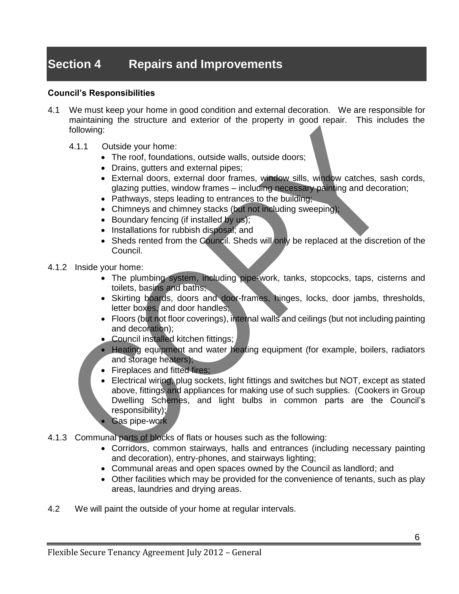## **Section 4 Repairs and Improvements**

### **Council's Responsibilities**

- 4.1 We must keep your home in good condition and external decoration. We are responsible for maintaining the structure and exterior of the property in good repair. This includes the following:
	- 4.1.1 Outside your home:
		- The roof, foundations, outside walls, outside doors;
		- Drains, gutters and external pipes;
		- External doors, external door frames, window sills, window catches, sash cords, glazing putties, window frames – including necessary painting and decoration;
		- Pathways, steps leading to entrances to the building;
		- Chimneys and chimney stacks (but not including sweeping);
		- Boundary fencing (if installed by us);
		- Installations for rubbish disposal; and
		- Sheds rented from the Council. Sheds will only be replaced at the discretion of the Council.
- 4.1.2 Inside your home:
	- The plumbing system, including pipe-work, tanks, stopcocks, taps, cisterns and toilets, basins and baths;
	- Skirting boards, doors and door-frames, hinges, locks, door jambs, thresholds, letter boxes, and door handles;
	- Floors (but not floor coverings), internal walls and ceilings (but not including painting and decoration);
	- Council installed kitchen fittings;
	- Heating equipment and water heating equipment (for example, boilers, radiators and storage heaters);
	- Fireplaces and fitted fires;
	- Electrical wiring, plug sockets, light fittings and switches but NOT, except as stated above, fittings and appliances for making use of such supplies. (Cookers in Group Dwelling Schemes, and light bulbs in common parts are the Council's responsibility);
	- Gas pipe-work
- 4.1.3 Communal parts of blocks of flats or houses such as the following:
	- Corridors, common stairways, halls and entrances (including necessary painting and decoration), entry-phones, and stairways lighting;
	- Communal areas and open spaces owned by the Council as landlord; and
	- Other facilities which may be provided for the convenience of tenants, such as play areas, laundries and drying areas.
- 4.2 We will paint the outside of your home at regular intervals.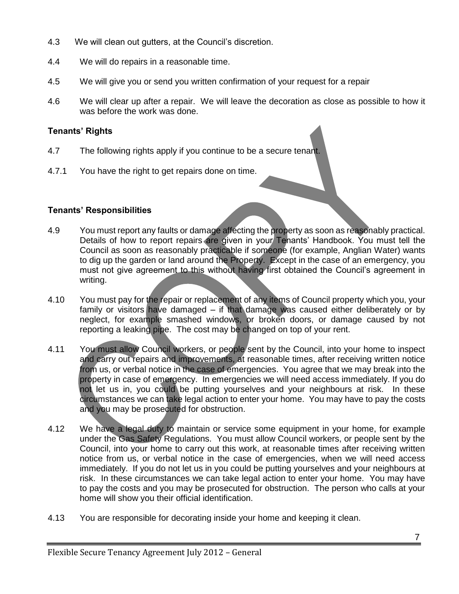- 4.3 We will clean out gutters, at the Council's discretion.
- 4.4 We will do repairs in a reasonable time.
- 4.5 We will give you or send you written confirmation of your request for a repair
- 4.6 We will clear up after a repair. We will leave the decoration as close as possible to how it was before the work was done.

### **Tenants' Rights**

- 4.7 The following rights apply if you continue to be a secure tenant.
- 4.7.1 You have the right to get repairs done on time.

- 4.9 You must report any faults or damage affecting the property as soon as reasonably practical. Details of how to report repairs are given in your Tenants' Handbook. You must tell the Council as soon as reasonably practicable if someone (for example, Anglian Water) wants to dig up the garden or land around the Property. Except in the case of an emergency, you must not give agreement to this without having first obtained the Council's agreement in writing.
- 4.10 You must pay for the repair or replacement of any items of Council property which you, your family or visitors have damaged – if that damage was caused either deliberately or by neglect, for example smashed windows, or broken doors, or damage caused by not reporting a leaking pipe. The cost may be changed on top of your rent.
- 4.11 You must allow Council workers, or people sent by the Council, into your home to inspect and carry out repairs and improvements, at reasonable times, after receiving written notice from us, or verbal notice in the case of emergencies. You agree that we may break into the property in case of emergency. In emergencies we will need access immediately. If you do not let us in, you could be putting yourselves and your neighbours at risk. In these circumstances we can take legal action to enter your home. You may have to pay the costs and you may be prosecuted for obstruction.
- 4.12 We have a legal duty to maintain or service some equipment in your home, for example under the Gas Safety Regulations. You must allow Council workers, or people sent by the Council, into your home to carry out this work, at reasonable times after receiving written notice from us, or verbal notice in the case of emergencies, when we will need access immediately. If you do not let us in you could be putting yourselves and your neighbours at risk. In these circumstances we can take legal action to enter your home. You may have to pay the costs and you may be prosecuted for obstruction. The person who calls at your home will show you their official identification.
- 4.13 You are responsible for decorating inside your home and keeping it clean.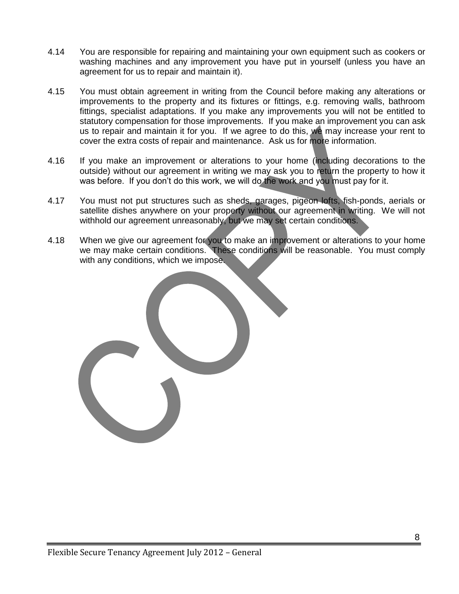- 4.14 You are responsible for repairing and maintaining your own equipment such as cookers or washing machines and any improvement you have put in yourself (unless you have an agreement for us to repair and maintain it).
- 4.15 You must obtain agreement in writing from the Council before making any alterations or improvements to the property and its fixtures or fittings, e.g. removing walls, bathroom fittings, specialist adaptations. If you make any improvements you will not be entitled to statutory compensation for those improvements. If you make an improvement you can ask us to repair and maintain it for you. If we agree to do this, we may increase your rent to cover the extra costs of repair and maintenance. Ask us for more information.
- 4.16 If you make an improvement or alterations to your home (including decorations to the outside) without our agreement in writing we may ask you to return the property to how it was before. If you don't do this work, we will do the work and you must pay for it.
- 4.17 You must not put structures such as sheds, garages, pigeon lofts, fish-ponds, aerials or satellite dishes anywhere on your property without our agreement in writing. We will not withhold our agreement unreasonably, but we may set certain conditions.
- 4.18 When we give our agreement for you to make an improvement or alterations to your home we may make certain conditions. These conditions will be reasonable. You must comply with any conditions, which we impose.

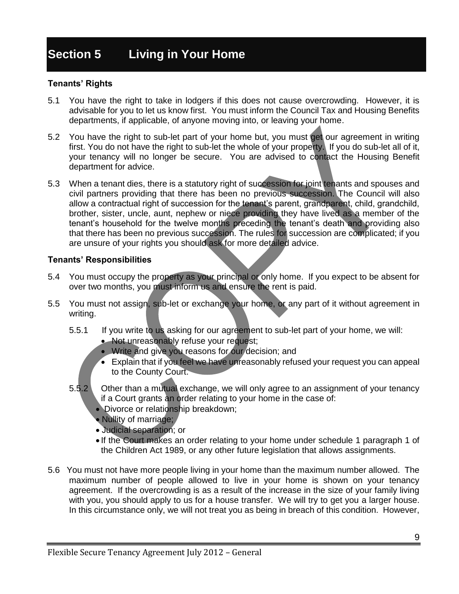### **Section 5 Living in Your Home**

### **Tenants' Rights**

- 5.1 You have the right to take in lodgers if this does not cause overcrowding. However, it is advisable for you to let us know first. You must inform the Council Tax and Housing Benefits departments, if applicable, of anyone moving into, or leaving your home.
- 5.2 You have the right to sub-let part of your home but, you must get our agreement in writing first. You do not have the right to sub-let the whole of your property. If you do sub-let all of it, your tenancy will no longer be secure. You are advised to contact the Housing Benefit department for advice.
- 5.3 When a tenant dies, there is a statutory right of succession for joint tenants and spouses and civil partners providing that there has been no previous succession. The Council will also allow a contractual right of succession for the tenant's parent, grandparent, child, grandchild, brother, sister, uncle, aunt, nephew or niece providing they have lived as a member of the tenant's household for the twelve months preceding the tenant's death and providing also that there has been no previous succession. The rules for succession are complicated; if you are unsure of your rights you should ask for more detailed advice.

- 5.4 You must occupy the property as your principal or only home. If you expect to be absent for over two months, you must inform us and ensure the rent is paid.
- 5.5 You must not assign, sub-let or exchange your home, or any part of it without agreement in writing.
	- 5.5.1 If you write to us asking for our agreement to sub-let part of your home, we will:
		- Not unreasonably refuse your request;
		- Write and give you reasons for our decision; and
		- Explain that if you feel we have unreasonably refused your request you can appeal to the County Court.
	- 5.5.2 Other than a mutual exchange, we will only agree to an assignment of your tenancy if a Court grants an order relating to your home in the case of:
		- Divorce or relationship breakdown;
		- Nullity of marriage;
		- Judicial separation; or
		- If the Court makes an order relating to your home under schedule 1 paragraph 1 of the Children Act 1989, or any other future legislation that allows assignments.
- 5.6 You must not have more people living in your home than the maximum number allowed. The maximum number of people allowed to live in your home is shown on your tenancy agreement. If the overcrowding is as a result of the increase in the size of your family living with you, you should apply to us for a house transfer. We will try to get you a larger house. In this circumstance only, we will not treat you as being in breach of this condition. However,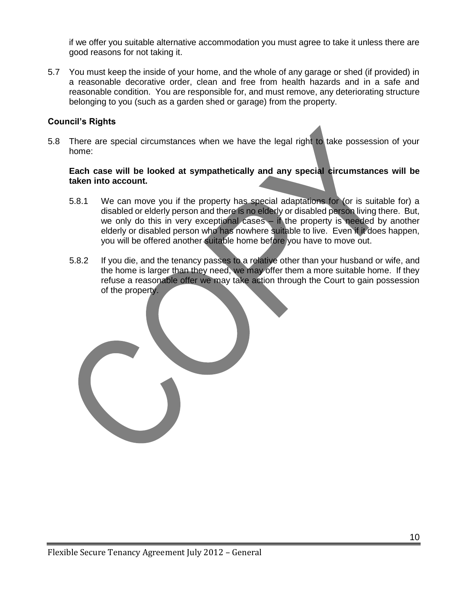if we offer you suitable alternative accommodation you must agree to take it unless there are good reasons for not taking it.

5.7 You must keep the inside of your home, and the whole of any garage or shed (if provided) in a reasonable decorative order, clean and free from health hazards and in a safe and reasonable condition. You are responsible for, and must remove, any deteriorating structure belonging to you (such as a garden shed or garage) from the property.

### **Council's Rights**

5.8 There are special circumstances when we have the legal right to take possession of your home:

### **Each case will be looked at sympathetically and any special circumstances will be taken into account.**

- 5.8.1 We can move you if the property has special adaptations for (or is suitable for) a disabled or elderly person and there is no elderly or disabled person living there. But, we only do this in very exceptional cases – if the property is needed by another elderly or disabled person who has nowhere suitable to live. Even if it does happen, you will be offered another suitable home before you have to move out.
- 5.8.2 If you die, and the tenancy passes to a relative other than your husband or wife, and the home is larger than they need, we may offer them a more suitable home. If they refuse a reasonable offer we may take action through the Court to gain possession of the property.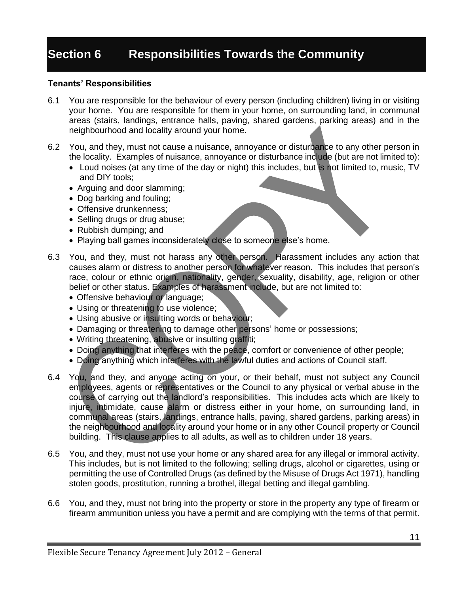### **Section 6 Responsibilities Towards the Community**

- 6.1 You are responsible for the behaviour of every person (including children) living in or visiting your home. You are responsible for them in your home, on surrounding land, in communal areas (stairs, landings, entrance halls, paving, shared gardens, parking areas) and in the neighbourhood and locality around your home.
- 6.2 You, and they, must not cause a nuisance, annoyance or disturbance to any other person in the locality. Examples of nuisance, annoyance or disturbance include (but are not limited to):
	- Loud noises (at any time of the day or night) this includes, but is not limited to, music, TV and DIY tools;
	- Arguing and door slamming;
	- Dog barking and fouling;
	- Offensive drunkenness:
	- Selling drugs or drug abuse;
	- Rubbish dumping; and
	- Playing ball games inconsiderately close to someone else's home.
- 6.3 You, and they, must not harass any other person. Harassment includes any action that causes alarm or distress to another person for whatever reason. This includes that person's race, colour or ethnic origin, nationality, gender, sexuality, disability, age, religion or other belief or other status. Examples of harassment include, but are not limited to:
	- Offensive behaviour or language;
	- Using or threatening to use violence;
	- Using abusive or insulting words or behaviour;
	- Damaging or threatening to damage other persons' home or possessions;
	- Writing threatening, abusive or insulting graffiti;
	- Doing anything that interferes with the peace, comfort or convenience of other people;
	- Doing anything which interferes with the lawful duties and actions of Council staff.
- 6.4 You, and they, and anyone acting on your, or their behalf, must not subject any Council employees, agents or representatives or the Council to any physical or verbal abuse in the course of carrying out the landlord's responsibilities. This includes acts which are likely to injure, intimidate, cause alarm or distress either in your home, on surrounding land, in communal areas (stairs, landings, entrance halls, paving, shared gardens, parking areas) in the neighbourhood and locality around your home or in any other Council property or Council building. This clause applies to all adults, as well as to children under 18 years.
- 6.5 You, and they, must not use your home or any shared area for any illegal or immoral activity. This includes, but is not limited to the following; selling drugs, alcohol or cigarettes, using or permitting the use of Controlled Drugs (as defined by the Misuse of Drugs Act 1971), handling stolen goods, prostitution, running a brothel, illegal betting and illegal gambling.
- 6.6 You, and they, must not bring into the property or store in the property any type of firearm or firearm ammunition unless you have a permit and are complying with the terms of that permit.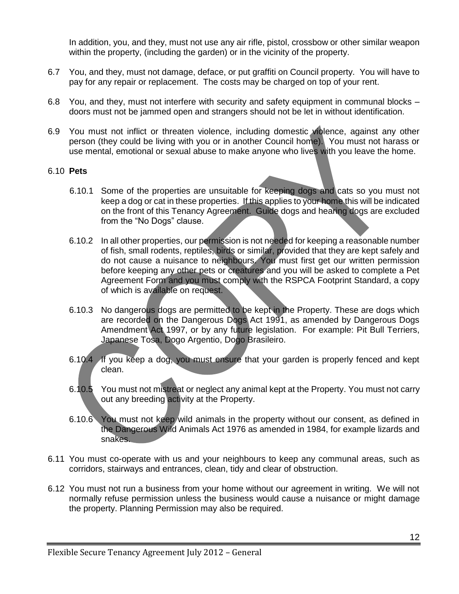In addition, you, and they, must not use any air rifle, pistol, crossbow or other similar weapon within the property, (including the garden) or in the vicinity of the property.

- 6.7 You, and they, must not damage, deface, or put graffiti on Council property. You will have to pay for any repair or replacement. The costs may be charged on top of your rent.
- 6.8 You, and they, must not interfere with security and safety equipment in communal blocks doors must not be jammed open and strangers should not be let in without identification.
- 6.9 You must not inflict or threaten violence, including domestic violence, against any other person (they could be living with you or in another Council home). You must not harass or use mental, emotional or sexual abuse to make anyone who lives with you leave the home.

### 6.10 **Pets**

- 6.10.1 Some of the properties are unsuitable for keeping dogs and cats so you must not keep a dog or cat in these properties. If this applies to your home this will be indicated on the front of this Tenancy Agreement. Guide dogs and hearing dogs are excluded from the "No Dogs" clause.
- 6.10.2 In all other properties, our permission is not needed for keeping a reasonable number of fish, small rodents, reptiles, birds or similar, provided that they are kept safely and do not cause a nuisance to neighbours. You must first get our written permission before keeping any other pets or creatures and you will be asked to complete a Pet Agreement Form and you must comply with the RSPCA Footprint Standard, a copy of which is available on request.
- 6.10.3 No dangerous dogs are permitted to be kept in the Property. These are dogs which are recorded on the Dangerous Dogs Act 1991, as amended by Dangerous Dogs Amendment Act 1997, or by any future legislation. For example: Pit Bull Terriers, Japanese Tosa, Dogo Argentio, Dogo Brasileiro.
- 6.10.4 If you keep a dog, you must ensure that your garden is properly fenced and kept clean.
- 6.10.5 You must not mistreat or neglect any animal kept at the Property. You must not carry out any breeding activity at the Property.
- 6.10.6 You must not keep wild animals in the property without our consent, as defined in the Dangerous Wild Animals Act 1976 as amended in 1984, for example lizards and snakes.
- 6.11 You must co-operate with us and your neighbours to keep any communal areas, such as corridors, stairways and entrances, clean, tidy and clear of obstruction.
- 6.12 You must not run a business from your home without our agreement in writing. We will not normally refuse permission unless the business would cause a nuisance or might damage the property. Planning Permission may also be required.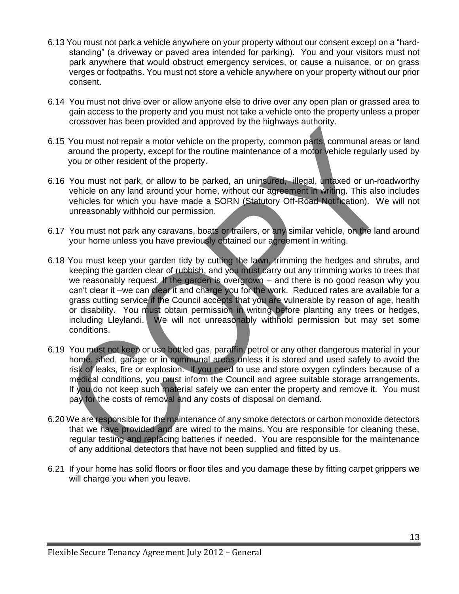- 6.13 You must not park a vehicle anywhere on your property without our consent except on a "hardstanding" (a driveway or paved area intended for parking). You and your visitors must not park anywhere that would obstruct emergency services, or cause a nuisance, or on grass verges or footpaths. You must not store a vehicle anywhere on your property without our prior consent.
- 6.14 You must not drive over or allow anyone else to drive over any open plan or grassed area to gain access to the property and you must not take a vehicle onto the property unless a proper crossover has been provided and approved by the highways authority.
- 6.15 You must not repair a motor vehicle on the property, common parts, communal areas or land around the property, except for the routine maintenance of a motor vehicle regularly used by you or other resident of the property.
- 6.16 You must not park, or allow to be parked, an uninsured, illegal, untaxed or un-roadworthy vehicle on any land around your home, without our agreement in writing. This also includes vehicles for which you have made a SORN (Statutory Off-Road Notification). We will not unreasonably withhold our permission.
- 6.17 You must not park any caravans, boats or trailers, or any similar vehicle, on the land around your home unless you have previously obtained our agreement in writing.
- 6.18 You must keep your garden tidy by cutting the lawn, trimming the hedges and shrubs, and keeping the garden clear of rubbish, and you must carry out any trimming works to trees that we reasonably request. If the garden is overgrown – and there is no good reason why you can't clear it –we can clear it and charge you for the work. Reduced rates are available for a grass cutting service if the Council accepts that you are vulnerable by reason of age, health or disability. You must obtain permission in writing before planting any trees or hedges, including Lleylandi. We will not unreasonably withhold permission but may set some conditions.
- 6.19 You must not keep or use bottled gas, paraffin, petrol or any other dangerous material in your home, shed, garage or in communal areas unless it is stored and used safely to avoid the risk of leaks, fire or explosion. If you need to use and store oxygen cylinders because of a medical conditions, you must inform the Council and agree suitable storage arrangements. If you do not keep such material safely we can enter the property and remove it. You must pay for the costs of removal and any costs of disposal on demand.
- 6.20 We are responsible for the maintenance of any smoke detectors or carbon monoxide detectors that we have provided and are wired to the mains. You are responsible for cleaning these, regular testing and replacing batteries if needed. You are responsible for the maintenance of any additional detectors that have not been supplied and fitted by us.
- 6.21 If your home has solid floors or floor tiles and you damage these by fitting carpet grippers we will charge you when you leave.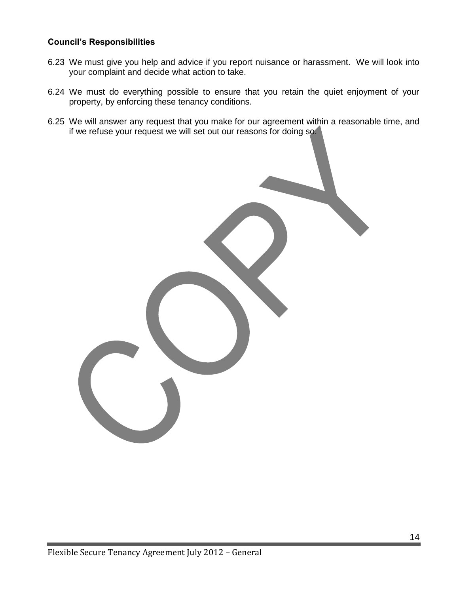### **Council's Responsibilities**

- 6.23 We must give you help and advice if you report nuisance or harassment. We will look into your complaint and decide what action to take.
- 6.24 We must do everything possible to ensure that you retain the quiet enjoyment of your property, by enforcing these tenancy conditions.
- 6.25 We will answer any request that you make for our agreement within a reasonable time, and if we refuse your request we will set out our reasons for doing so.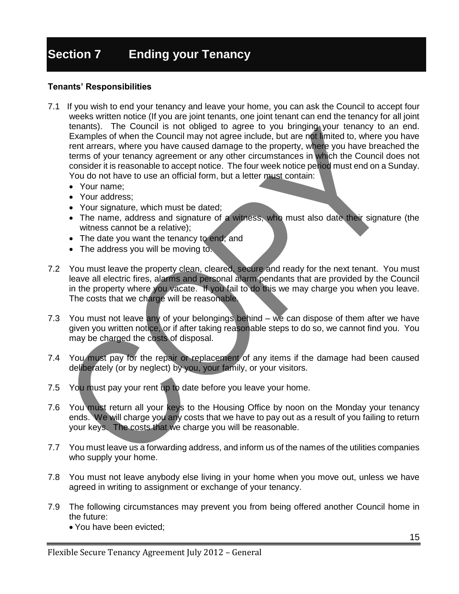# **Section 7 Ending your Tenancy**

- 7.1 If you wish to end your tenancy and leave your home, you can ask the Council to accept four weeks written notice (If you are joint tenants, one joint tenant can end the tenancy for all joint tenants). The Council is not obliged to agree to you bringing your tenancy to an end. Examples of when the Council may not agree include, but are not limited to, where you have rent arrears, where you have caused damage to the property, where you have breached the terms of your tenancy agreement or any other circumstances in which the Council does not consider it is reasonable to accept notice. The four week notice period must end on a Sunday. You do not have to use an official form, but a letter must contain:
	- Your name:
	- Your address:
	- Your signature, which must be dated;
	- The name, address and signature of a witness, who must also date their signature (the witness cannot be a relative);
	- The date you want the tenancy to end; and
	- The address you will be moving to.
- 7.2 You must leave the property clean, cleared, secure and ready for the next tenant. You must leave all electric fires, alarms and personal alarm pendants that are provided by the Council in the property where you vacate. If you fail to do this we may charge you when you leave. The costs that we charge will be reasonable.
- 7.3 You must not leave any of your belongings behind we can dispose of them after we have given you written notice, or if after taking reasonable steps to do so, we cannot find you. You may be charged the costs of disposal.
- 7.4 You must pay for the repair or replacement of any items if the damage had been caused deliberately (or by neglect) by you, your family, or your visitors.
- 7.5 You must pay your rent up to date before you leave your home.
- 7.6 You must return all your keys to the Housing Office by noon on the Monday your tenancy ends. We will charge you any costs that we have to pay out as a result of you failing to return your keys. The costs that we charge you will be reasonable.
- 7.7 You must leave us a forwarding address, and inform us of the names of the utilities companies who supply your home.
- 7.8 You must not leave anybody else living in your home when you move out, unless we have agreed in writing to assignment or exchange of your tenancy.
- 7.9 The following circumstances may prevent you from being offered another Council home in the future:
	- You have been evicted;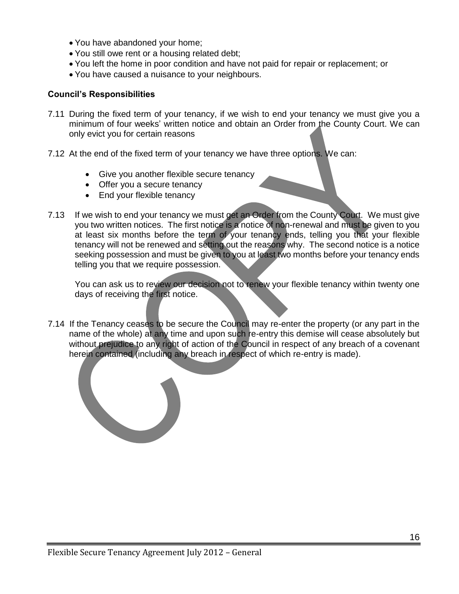- You have abandoned your home;
- You still owe rent or a housing related debt;
- You left the home in poor condition and have not paid for repair or replacement; or
- You have caused a nuisance to your neighbours.

### **Council's Responsibilities**

- 7.11 During the fixed term of your tenancy, if we wish to end your tenancy we must give you a minimum of four weeks' written notice and obtain an Order from the County Court. We can only evict you for certain reasons
- 7.12 At the end of the fixed term of your tenancy we have three options. We can:
	- Give you another flexible secure tenancy
	- Offer you a secure tenancy
	- End your flexible tenancy
- 7.13 If we wish to end your tenancy we must get an Order from the County Court. We must give you two written notices. The first notice is a notice of non-renewal and must be given to you at least six months before the term of your tenancy ends, telling you that your flexible tenancy will not be renewed and setting out the reasons why. The second notice is a notice seeking possession and must be given to you at least two months before your tenancy ends telling you that we require possession.

You can ask us to review our decision not to renew your flexible tenancy within twenty one days of receiving the first notice.

7.14 If the Tenancy ceases to be secure the Council may re-enter the property (or any part in the name of the whole) at any time and upon such re-entry this demise will cease absolutely but without prejudice to any right of action of the Council in respect of any breach of a covenant herein contained (including any breach in respect of which re-entry is made).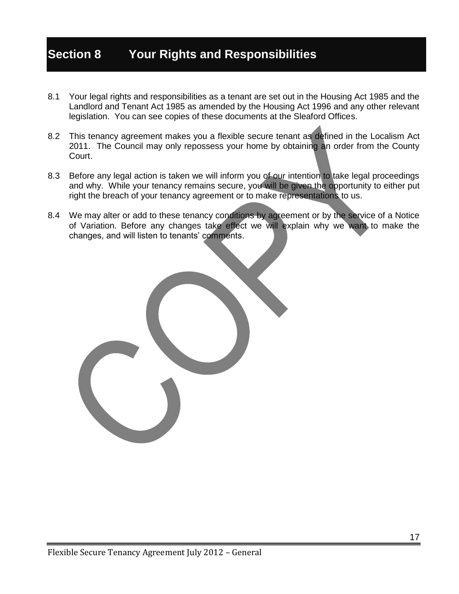### **Section 8 Your Rights and Responsibilities**

- 8.1 Your legal rights and responsibilities as a tenant are set out in the Housing Act 1985 and the Landlord and Tenant Act 1985 as amended by the Housing Act 1996 and any other relevant legislation. You can see copies of these documents at the Sleaford Offices.
- 8.2 This tenancy agreement makes you a flexible secure tenant as defined in the Localism Act 2011. The Council may only repossess your home by obtaining an order from the County Court.
- 8.3 Before any legal action is taken we will inform you of our intention to take legal proceedings and why. While your tenancy remains secure, you will be given the opportunity to either put right the breach of your tenancy agreement or to make representations to us.
- 8.4 We may alter or add to these tenancy conditions by agreement or by the service of a Notice of Variation. Before any changes take effect we will explain why we want to make the changes, and will listen to tenants' comments.

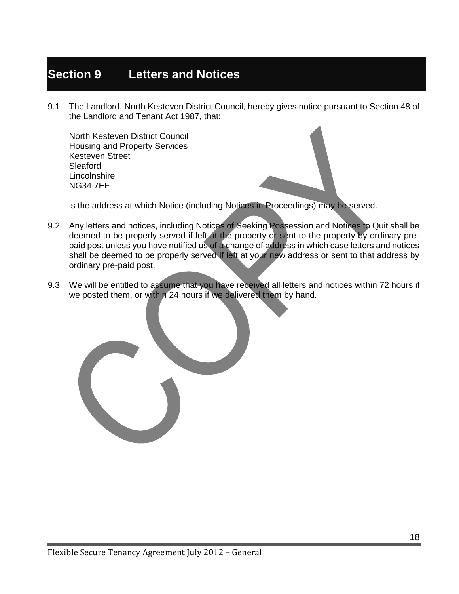### **Section 9 Letters and Notices**

9.1 The Landlord, North Kesteven District Council, hereby gives notice pursuant to Section 48 of the Landlord and Tenant Act 1987, that:

North Kesteven District Council Housing and Property Services Kesteven Street Sleaford **Lincolnshire** NG34 7EF



- 9.2 Any letters and notices, including Notices of Seeking Possession and Notices to Quit shall be deemed to be properly served if left at the property or sent to the property by ordinary prepaid post unless you have notified us of a change of address in which case letters and notices shall be deemed to be properly served if left at your new address or sent to that address by ordinary pre-paid post.
- 9.3 We will be entitled to assume that you have received all letters and notices within 72 hours if we posted them, or within 24 hours if we delivered them by hand.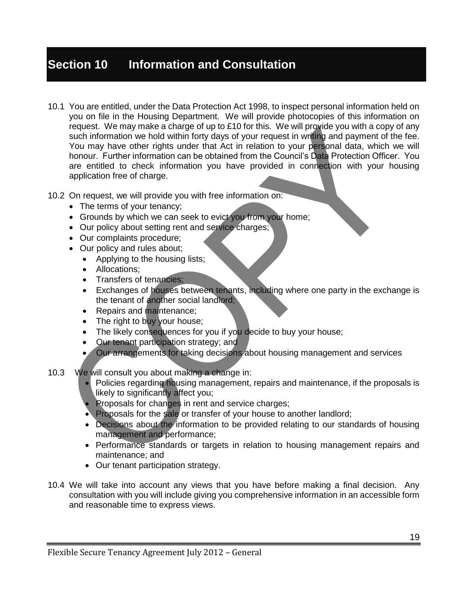### **Section 10 Information and Consultation**

- 10.1 You are entitled, under the Data Protection Act 1998, to inspect personal information held on you on file in the Housing Department. We will provide photocopies of this information on request. We may make a charge of up to £10 for this. We will provide you with a copy of any such information we hold within forty days of your request in writing and payment of the fee. You may have other rights under that Act in relation to your personal data, which we will honour. Further information can be obtained from the Council's Data Protection Officer. You are entitled to check information you have provided in connection with your housing application free of charge.
- 10.2 On request, we will provide you with free information on:
	- The terms of your tenancy;
	- Grounds by which we can seek to evict you from your home;
	- Our policy about setting rent and service charges;
	- Our complaints procedure;
	- Our policy and rules about;
		- Applying to the housing lists;
		- Allocations:
		- Transfers of tenancies;
		- Exchanges of houses between tenants, including where one party in the exchange is the tenant of another social landlord;
		- Repairs and maintenance;
		- The right to buy your house;
		- The likely consequences for you if you decide to buy your house;
		- Our tenant participation strategy; and
		- Our arrangements for taking decisions about housing management and services
- 10.3 We will consult you about making a change in:
	- Policies regarding housing management, repairs and maintenance, if the proposals is likely to significantly affect you;
	- **Proposals for changes in rent and service charges;**
	- Proposals for the sale or transfer of your house to another landlord;
	- Decisions about the information to be provided relating to our standards of housing management and performance;
	- Performance standards or targets in relation to housing management repairs and maintenance; and
	- Our tenant participation strategy.
- 10.4 We will take into account any views that you have before making a final decision. Any consultation with you will include giving you comprehensive information in an accessible form and reasonable time to express views.